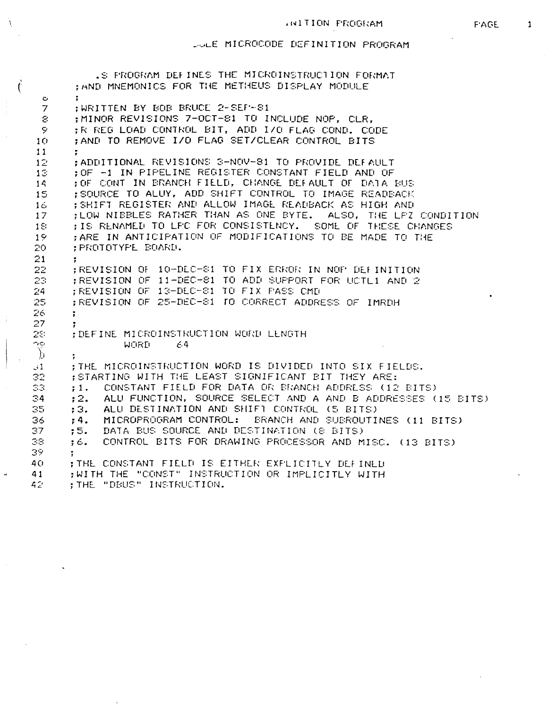## \_ •\_•!\_£ MICROCODE DEFINITION PROGRAM

À

 $\mathbf{I}$ 

|                 | .S FROGRAM DEFINES THE MICROINSTRUCTION FORMAT                  |
|-----------------|-----------------------------------------------------------------|
|                 | ; AND MNEMONICS FOR THE METHEUS DISPLAY MODULE                  |
| $\mathbf{C}$    |                                                                 |
| $\overline{7}$  | WRITTEN BY BOB BRUCE 2-SEF-81                                   |
| S.              | : MINOR REVISIONS 7-OCT-81 TO INCLUDE NOP, CLR,                 |
| 9               | :R REG LOAD CONTROL BIT, ADD I/O FLAG COND. CODE                |
| 10              | : AND TO REMOVE I/O FLAG SET/CLEAR CONTROL BITS                 |
| 11              | ÷.                                                              |
| 12 <sub>1</sub> | :ADDITIONAL REVISIONS 3-NOV-81 TO PROVIDE DEFAULT               |
| 13              | :OF -1 IN PIPELINE REGISTER CONSTANT FIELD AND OF               |
| 14              | ; OF CONT IN BRANCH FIELD, CHANGE DEFAULT OF DATA BUS           |
| 15              | : SOURCE TO ALUY, ADD SHIFT CONTROL TO IMAGE READEACK           |
| 16              | ; SHIFT REGISTER AND ALLOW IMAGE READBACK AS HIGH AND           |
| 17              | ; LOW NIBBLES RATHER THAN AS ONE BYTE. ALSO, THE LFZ CONDITION  |
| 18              | : IS RENAMED TO LFC FOR CONSISTENCY. SOME OF THESE CHANGES      |
| 19              | : ARE IN ANTICIPATION OF MODIFICATIONS TO BE MADE TO THE        |
| 20              | ; PROTOTYPE BOARD.                                              |
| 21              | $\ddot{\cdot}$                                                  |
| 22              | ;REVISION OF 10-DEC-81 TO FIX ERROR IN NOF DEFINITION           |
| 23              | :REVISION OF 11-DEC-81 TO ADD SUPPORT FOR UCTL1 AND 2           |
| 24              | ;REVISION OF 13-DEC-81 TO FIX PASS OMD                          |
| 25              | ;REVISION OF 25-DEC-81 TO CORRECT ADDRESS OF IMRDH              |
| 26              | ÷                                                               |
| 27              |                                                                 |
| 28.             | ; DEFINE MICROINSTRUCTION WORD LENGTH                           |
| OG.             | WORD<br>64                                                      |
| $\bigcup$       |                                                                 |
| $\mathcal{L}$   | ; THE MICROINSTRUCTION WORD IS DIVIDED INTO SIX FIELDS.         |
| 32              | :STARTING WITH THE LEAST SIGNIFICANT BIT THEY ARE:              |
| 53              | CONSTANT FIELD FOR DATA OR BRANCH ADDRESS (12 BITS)<br>: 1.     |
| $\Im 4$         | ;2. ALU FUNCTION, SOURCE SELECT AND A AND B ADDRESSES (15 BITS) |
| 35              | ALU DESTINATION AND SHIFT CONTROL (5 BITS)<br>;3.               |
| 36              | MICROPROGRAM CONTROL: BRANCH AND SUBROUTINES (11 BITS)<br>; 4.  |
| 37              | DATA BUS SOURCE AND DESTINATION (8 BITS)<br>:5.                 |
| 38              | CONTROL BITS FOR DRAWING PROCESSOR AND MISC. (13 BITS)<br>:6.   |
| 35.             |                                                                 |
| 40.             | THE CONSTANT FIELD IS EITHER EXPLICITEY DEFINED                 |
| 41              | :WITH THE "CONST" INSTRUCTION OR IMPLICITLY WITH                |
| 42              | ; THE "DEUS" INSTRUCTION.                                       |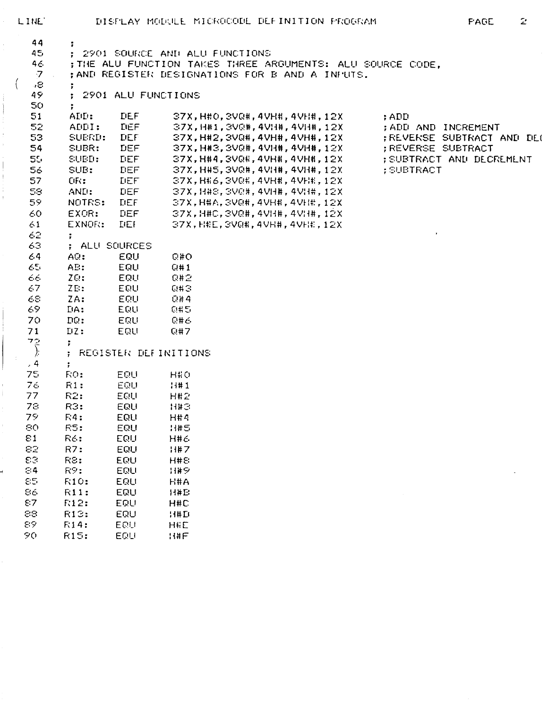| LINE.          |                            |                      |                                 | DISPLAY MODULE MICROCODE DEFINITION PROGRAM                | $\tilde{z}$<br>PAGE        |
|----------------|----------------------------|----------------------|---------------------------------|------------------------------------------------------------|----------------------------|
| 44<br>45       |                            |                      |                                 |                                                            |                            |
| 46.            |                            |                      | ; 2901 SOURCE AND ALU FUNCTIONS | ; THE ALU FUNCTION TAKES THREE ARGUMENTS: ALU SOURCE CODE, |                            |
| $\overline{7}$ |                            |                      |                                 | ; AND REGISTER DESIGNATIONS FOR B AND A INFUTS.            |                            |
| $\left($<br>-8 | ÷                          |                      |                                 |                                                            |                            |
| 49             |                            | ; 2901 ALU FUNCTIONS |                                 |                                                            |                            |
| 50             |                            |                      |                                 |                                                            |                            |
| 51             | ADD:                       | DEF.                 |                                 | 37X, H#0, 3VQ#, 4VH#, 4VH#, 12X                            | ; ADD                      |
| 52             | ADDI:                      | <b>LIEF</b>          |                                 | 37X, H#1, 3VQ#, 4VH#, 4VH#, 12X                            | ; ADD AND INCREMENT        |
| 53             | SUERD:                     | DEF                  |                                 | 37X, H#2, 3VQ#, 4VH#, 4VH#, 12X                            | ; REVERSE SUBTRACT AND DEC |
| 54             | SUBR:                      | DEF                  |                                 | 37X, H#3, 3VQ#, 4VH#, 4VH#, 12X                            | <b>REVERSE SUBTRACT</b>    |
| 55             | SUBD:                      | $L$ EF               |                                 | 37X,H#4,3VQ#,4VH#,4VH#,12X                                 | ; SUBTRACT AND DECREMENT   |
| 56             | SUB:                       | DEF                  |                                 | 37X, H#5, 3VQ#, 4VH#, 4VH#, 12X                            | : SUBTRACT                 |
| 57             | $QR$ : $\qquad \qquad$     | <b>LIEF</b>          |                                 | 37X, H#6, 3VQ#, 4VH#, 4VH#, 12X                            |                            |
| 58.            | AND:                       | DEF                  |                                 | 37X, H#8, 3VQ#, 4VH#, 4VH#, 12X                            |                            |
| 59.            | NOTRS: DEF                 |                      |                                 | 37X, H#A, 3VQ#, 4VH#, 4VH#, 12X                            |                            |
| 60             | EXOR:                      | $DEF$ and $E$        |                                 | 37X, H#C, 3VQ#, 4VH#, 4VH#, 12X                            |                            |
| 61             | EXNOR:                     | <b>TIEF</b>          |                                 | 37X, H#E, 3VQ#, 4VH#, 4VH#, 12X                            |                            |
| 62.            | ÷.                         |                      |                                 |                                                            |                            |
| 63.<br>64      | ; ALU SOURCES<br>AG:       | <b>EQU</b>           |                                 |                                                            |                            |
| 65.            | AE:                        | EQU                  | <b>G#O</b><br>Q#1               |                                                            |                            |
| 66.            | ZQ:                        | EQU                  | Q#2                             |                                                            |                            |
| 67.            | ZE:                        | <b>EQUI</b>          | Q#3                             |                                                            |                            |
| 68.            | ZA:                        | - EQU                | Q#4                             |                                                            |                            |
| 69.            | DA:                        | EQU                  | 0#5                             |                                                            |                            |
| 70             | DG:                        | EQU                  | 息井香                             |                                                            |                            |
| 71             | $DZ$ :                     | EQU                  | Q#7                             |                                                            |                            |
|                | ÷                          |                      |                                 |                                                            |                            |
| $\vec{\gamma}$ |                            |                      | ; REGISTER DEFINITIONS          |                                                            |                            |
| .4             | $\ddot{r}$                 |                      |                                 |                                                            |                            |
| 75             | RO:                        | <b>EQU</b>           | H#0                             |                                                            |                            |
| 76             | R1:                        | EQU                  | 11#1                            |                                                            |                            |
| 77             | R2:                        | EQU                  | <b>H#2</b>                      |                                                            |                            |
| 78             | R3:                        | EQU                  | <b>H#3</b>                      |                                                            |                            |
| 79             | F4:                        | EQU                  | <b>H#4</b>                      |                                                            |                            |
| 80             | R5:                        | EQU                  | <b>H#5</b>                      |                                                            |                            |
| 81             | R6:                        | EQU                  | <b>H#6</b>                      |                                                            |                            |
| 82             | R7:                        | EQU                  | <b>H#7</b>                      |                                                            |                            |
| 83             | R2:                        | EQU                  | <b>H#8</b>                      |                                                            |                            |
| $\odot$ 4      | R9:                        | EQU                  | 出産シ                             |                                                            |                            |
| 85<br>86       | <b>R10:</b><br><b>R11:</b> | EQU<br>EQU           | H#A<br>11#E                     |                                                            |                            |
| E7             | <b>F:12:</b>               | EQU                  | H#C                             |                                                            |                            |
| 88             | R13:                       | EQU                  | 11#D                            |                                                            |                            |
| 89             | <b>R14:</b>                | EQU                  | <b>H#E</b>                      |                                                            |                            |
| 90.            | <b>R15:</b>                | EQU                  | 14#F                            |                                                            |                            |
|                |                            |                      |                                 |                                                            |                            |

 $\overline{\left( \right. }% ,\left. \overline{\left( \right. \right. }% ,\left. \overline{\left( \right. \right. }% ,\left. \overline{\left( \right. \right. })\right)$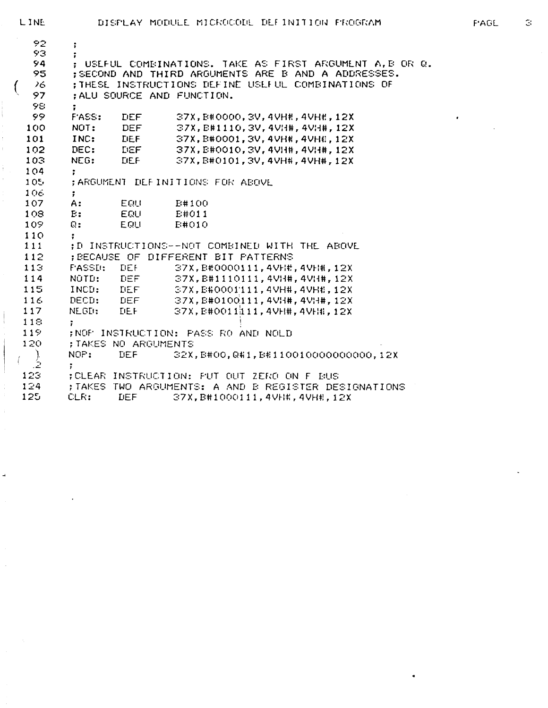$\mathbb{S}^1$ 

| 92      | ;                   |                      |                                                         |
|---------|---------------------|----------------------|---------------------------------------------------------|
| 93.     |                     |                      |                                                         |
| 94      |                     |                      | : USEFUL COMBINATIONS. TAKE AS FIRST ARGUMENT A, B OR Q |
| 95      |                     |                      | ; SECOND AND THIRD ARGUMENTS ARE B AND A ADDRESSES.     |
| 26.     |                     |                      | ; THESE INSTRUCTIONS DEFINE USEFUL COMBINATIONS OF      |
| 97      |                     |                      | : ALU SOURCE AND FUNCTION.                              |
| 98.     | $\ddot{r}$          |                      |                                                         |
| 99.     | <b>FASS:</b>        | <b>DEF</b>           | 37X, B#0000, 3V, 4VH#, 4VH#, 12X                        |
| 100     | NOT:                | <b>DEF</b>           | 37X, B#1110, 3V, 4VH#, 4VH#, 12X                        |
| 101     | INC:                | <b>DEF</b>           | 37X, B#0001, 3V, 4VHH, 4VHH, 12X                        |
| 102     | DEC:                | <b>LIEF</b>          | 37X, E#0010, 3V, 4VH#, 4VH#, 12X                        |
| 103     | NEG: LIEF           |                      | 37X, B#0101, 3V, 4VH#, 4VH#, 12X                        |
| 104     |                     |                      |                                                         |
| $105 -$ |                     |                      | : ARGUMENT DEFINITIONS FOR ABOVE                        |
| 106     | $\ddot{\mathbf{r}}$ |                      |                                                         |
| 107     | A:                  | EQU                  | E#100                                                   |
| 108     | E:                  | EQU                  | E#011                                                   |
| 109     | $\mathbb{Q}$ :      | EQU                  | E#010                                                   |
| 110     |                     |                      |                                                         |
| 111     |                     |                      | :D INSTRUCTIONS--NOT COMBINED WITH THE ABOVE            |
| 112     |                     |                      | : BECAUSE OF DIFFERENT BIT PATTERNS                     |
| 113     | <b>FASSD:</b>       | DEF                  | 37X, B#0000111, 4VH#, 4VH#, 12X                         |
| 114     |                     | NOTD: DEF            | $37X, B#1110111, 4VH$ #, 4VH#, 12X                      |
| 115     |                     | INCD: DEF            | 37X, B#0001111, 4VH#, 4VH#, 12X                         |
| 116     |                     | DECD: DEF            | $37X, B#0100111, 4V$ H#, $4V$ H#, $12X$                 |
| 117     | NEGD: DEF           |                      | 37X, E#0011111, 4VHH, 4VHH, 12X                         |
| 118     | $\mathbf{r}$        |                      |                                                         |
| 119     |                     |                      | :NOF INSTRUCTION: PASS RO AND NOLD                      |
| 120     |                     | ; TAKES NO ARGUMENTS |                                                         |
|         | NOP:                | DEF                  | 32X, E#00, Q#1, E#110010000000000, 12X                  |
| .2      | ÷                   |                      |                                                         |
| $123 -$ |                     |                      | : CLEAR INSTRUCTION: FUT OUT ZERO ON F BUS              |
| 124     |                     |                      | ; TAKES TWO ARGUMENTS: A AND B REGISTER DESIGNATIONS    |
| 125     | CLR:                | <b>LIEF</b>          | 37X, B#1000111, 4VH#, 4VH#, 12X                         |

LINE

 $\big($ 

 $\overline{\phantom{a}}$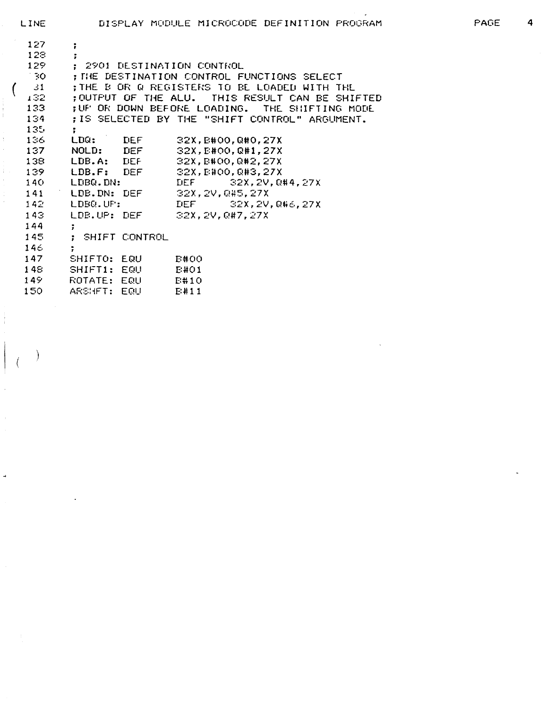| 127              | ÷                                 |                                                 |
|------------------|-----------------------------------|-------------------------------------------------|
| 128              | $\ddot{ }$                        |                                                 |
| 129.             | : 2901 DESTINATION CONTROL        |                                                 |
| - 30             |                                   | : ME DESTINATION CONTROL FUNCTIONS SELECT       |
| 31               |                                   | THE B OR Q REGISTERS TO BE LOADED WITH THE      |
| 132.             |                                   | : OUTFUT OF THE ALU. THIS RESULT CAN BE SHIFTED |
| 133              | ;UF OR DOWN BEFORE LOADING.       | THE SHIFTING MODE                               |
| 134              |                                   | ; IS SELECTED BY THE "SHIFT CONTROL" ARGUMENT.  |
| 135              | ÷                                 |                                                 |
| 136 <sub>1</sub> | LDG: DEF                          | 32X, B#00, Q#0, 27X                             |
| 137              | NOLD: DEF                         | 32X, E#00, Q#1, 27X                             |
| 138.             | LDB.A: DEF                        | 32X,B#00,Q#2,27X                                |
| 139.             |                                   | LDB.F: DEF 32X, E#00, Q#3, 27X                  |
|                  | 140 LDBQ.DN:                      | DEF $32X, 2V, 044, 27X$                         |
|                  | 141 LDB.DN: DEF 32X, 2V, Q#5, 27X |                                                 |
| 142 - 1          | LDBO.UF:                          | $DEF \t32X, 2V, 046, 27X$                       |
| 143.             | LDB.UP: DEF                       | 32X, 2V, 047, 27X                               |
| 144              | Ţ.                                |                                                 |
| 145              | ; SHIFT CONTROL                   |                                                 |
| 146              | $\ddot{r}$                        |                                                 |
| 147              | SHIFTO: EQU                       | <b>E#00</b>                                     |
| 148              | SHIFT1: EQU                       | E#01                                            |
| 149.             | ROTATE: EQU                       | E#10                                            |
| 150              | ARSHET: EQU                       | E#11                                            |

 $\begin{array}{c} \vdots \\ \vdots \\ \vdots \end{array}$ 

 $\rightarrow$ 

 $\mathcal{E}$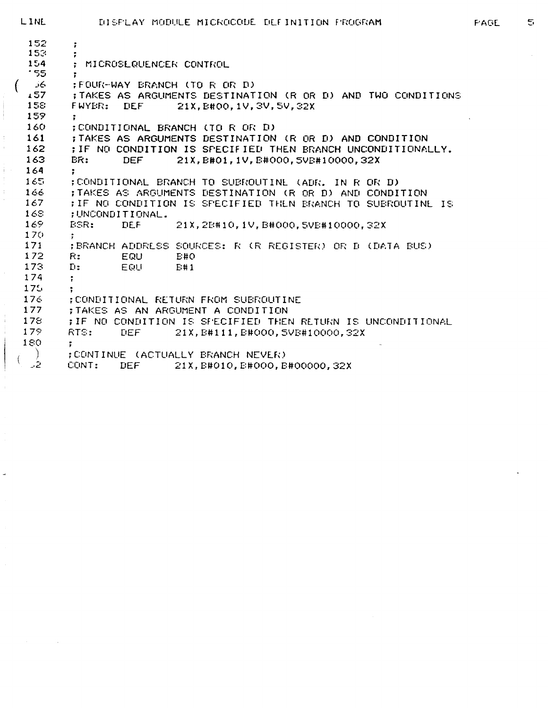```
LINE DISPLAY MODULE MICROCODE DEFINITION FROGRAM PAGE 5
 152 ; 
 \begin{array}{cc} 153 & ; \\ 154 & ; \end{array}154 ; MICROSLGUENCER CONTROL 
 '55 ; 
 ( FOUR-WAY BRANCH (TO R OR D) ;<br>157 : TAKES AS ARGUMENTS DESTINAT
 157 ;TAKES AS ARGUMENTS DESTINATION (R OR D) AND TWO CONDITIONS 
          158 FWYBR: DEF 21X, B#00, 1V,3V,5V,32X 
 \begin{array}{cc} 159 & ; \\ 160 & ; \end{array}160 ;CONDITIONAL BRANCH (TO R OR D)<br>161 :TAKES AS ARGUMENTS DESTINATION
          161 ;TAKES AS ARGUMENTS DESTINATION (R OR D) AND CONDITION 
 162 ; IF NO CONDITION IS SPECIFIED THEN BRANCH UNCONDITIONALLY.<br>163 BR: DEF 21X.B#01.1V.B#000.SVR#10000.32X
          BR: DEF 21X, B#01, 1V, B#000, 5VB#10000, 32X
\begin{array}{cc} 164 & ; & \\ 165 & ; & \end{array}165 ; CONDITIONAL BRANCH TO SUBROUTINE. (ADR. IN R OR D) 
          166 ;TAKES AS ARGUMENTS DESTINATION (R OR D> AND CONDITION 
167 ;IF NO CONDITION IS SPECIFIED THLN BRANCH TO SUBROUTINE IS 
168 ;UNCONDITIONAL.<br>169 BSR: DEE
                    DEF 21X, 2B# 10, 1V, B#000, 5VB#10000, 32X
\begin{array}{cc} 170 & ; \\ 171 & ; \end{array}171 ; BRANCH ADDRESS SOURCES: R (R REGISTER) OR D (DATA BUS) 
         R: EQU
173 D: EQU B# 1 
174 ; 
\frac{175}{176} ;
176 : CONDITIONAL RETURN FROM SUBROUTINE<br>177 : TAKES AS AN ARGUMENT A CONDITION
         ; TAKES AS AN ARGUMENT A CONDITION
178 ;IF NO CONDITION IS SPECIFIED THEN RETURN IS UNCONDITIONAL 179 RTS: DEF 21X.B#111.B#000.SVR#10000.S2X
         179 RTS: DEF 21 X, B# 111, BttOOO, 5VB#10000, 32X 
180 ; 
 / ) ; CONTINUE (ACTUALLY BFjANCH NEVER) 
                               21X, B#010, B#000, B#00000, 32X
```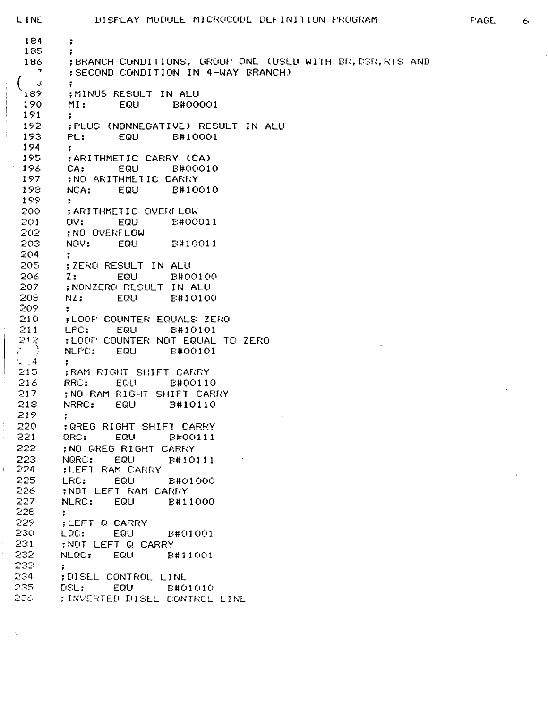**184 ;**   $185$  ;<br> $186$  : 186 ;BRANCH CONDITIONS, GROUP ONE (USED WITH BR,BSR,RTS AND ;SECOND CONDITION IN 4-WAY BRANCH)  $\begin{array}{ccccc}\n & 3 & & \vdots \\
 & 189 & & \vdots\n\end{array}$ 189 ;MINUS RESULT IN ALU MI: EQU B#00001  $\begin{array}{cc} 191 & ; & \\ 192 & ; & \end{array}$ 192 ;PLUS (NONNEGATIVE) RESULT IN ALU PL: EQU B#10001<br>; 194<br>195 195 : FARITHMETIC CARRY (CA)<br>196 : CA: EQU : EB-POO10 196 CA: EQU<br>197 : NO ARITHMETIC 197 ;NO ARITHMETIC CARRY NCA: EQU B#10010<br>; 199<br>200 200 ; ARITHMETIC OVERFLOW<br>201 : OV: EQUI : ENOO 201 OV: EQU BJtOOOU 202 j NO OVERFLOW NOV: EQU B#10011 204 ;<br>205 ;; 205 ; ZERO RESULT IN ALU 206 Z: EQU B#00100<br>207 ;NONZERO RESULT IN ALU 207 ;NONZERO RESULT IN ALU 208 NZ: EQU B#10100 209 ;<br>210 ;L 210 yLOOP COUNTER EQUALS ZERO 211 LPC: EQU B#10101<br>212 :LOOF COUNTER NOT EQUAL 12 : ;LOOP COUNTER NOT EQUAL TO ZERO<br>
12 : NLPC: EQU : E#00101 NLPC: EQU B#00101  $\begin{array}{ccc} \binom{4}{24} & \cdots & \end{array}$  : 215 : PAM RIGHT SHIFT CARRY<br>216 : RRC: EQUI : B#00110 216 RRC: EQU<br>217 : NO RAM RIGHT SI 217 ; NO RAM RIGHT SHIFT CARRY<br>218 : NRRC: EQU = B#10110 NRRC: EQU  $\begin{array}{cc} 219 & ; & \ 220 & ; & \ \end{array}$ 220 ;QREG RIGHT SHIFT CARRY<br>221 QRC: EQU B#00111 221 QRC: EQU BK00111 222 ;NO QREG RIGHT CARRY<br>223 NQRC: EQU B#10;  $223$  NQRC: EQU B#10111<br> $224$  :LEFT RAM CARRY 224 ;LEFT RAM CARRY 225 LRC: EQU B#01000<br>226 :NOT LEFT RAM CARRY 226 : ; NOT LEFT RAM CARRY<br>227 : NLRC: EQU : ENE NLRC: EQU B#11000 **228 ;**  229 ;LEFT Q CARRY<br>230 : LQC: EQU 230 LQC: EQU B#01001 231 ; NOT LEFT G> CARRY EQU B#11001 233<br>234  $\ddot{\phantom{a}}$ 234 ;DISEL CONTROL LINE 235 DSL: EQU BJtOlOlO 236 ;INVERTED DISLL CONTROL LINE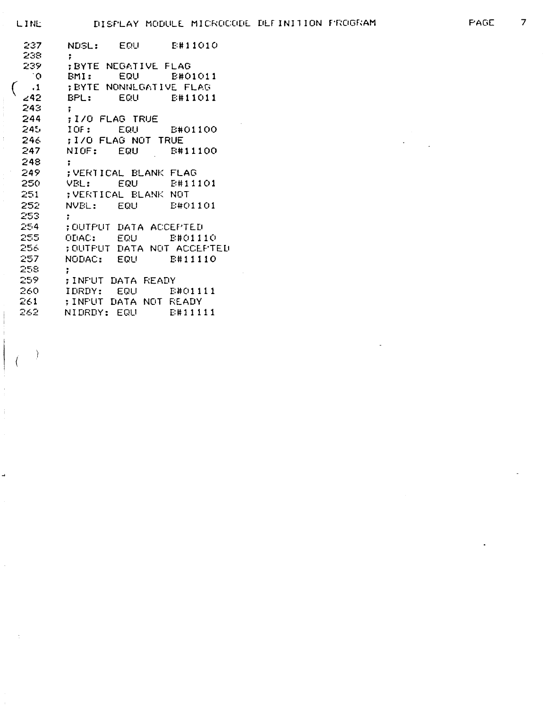$\left\{ \right.$ 

 $\overline{\mathcal{L}}$ 

| 237          | <b>NDSL: EQU B#11010</b>                                                                                                                                                                                                       |             |
|--------------|--------------------------------------------------------------------------------------------------------------------------------------------------------------------------------------------------------------------------------|-------------|
| 238.         | $\ddot{\phantom{a}}$                                                                                                                                                                                                           |             |
| 239.         | : BYTE NEGATIVE FLAG                                                                                                                                                                                                           |             |
| $^{\circ}$ 0 | BMI:                                                                                                                                                                                                                           |             |
| $\cdot$ 1    | : EYTE NONNEGATIVE FLAG                                                                                                                                                                                                        |             |
| 242          |                                                                                                                                                                                                                                |             |
| 243.         | $\ddot{\bullet}$                                                                                                                                                                                                               |             |
| 244          | : I/O FLAG TRUE                                                                                                                                                                                                                |             |
| 245.         | IOF: EQU E#01100                                                                                                                                                                                                               |             |
| 246          | ; I/O FLAG NOT TRUE                                                                                                                                                                                                            |             |
| 247          | NIOF:                                                                                                                                                                                                                          | EQU B#11100 |
| 248          | $\ddot{\phantom{a}}$                                                                                                                                                                                                           |             |
| 249          | ;VERTICAL BLANK FLAG                                                                                                                                                                                                           |             |
| 250 -        | VBL: The state of the state of the state of the state of the state of the state of the state of the state of the state of the state of the state of the state of the state of the state of the state of the state of the state | EQU E#11101 |
| 251          | ; VERTICAL BLANK NOT                                                                                                                                                                                                           |             |
| 252.         | NVEL: EQU                                                                                                                                                                                                                      | E#01101     |
| 253.         | ÷                                                                                                                                                                                                                              |             |
| 254          | ;OUTPUT DATA ACCEPTED                                                                                                                                                                                                          |             |
| 255          | ODAC: EQU B#01110                                                                                                                                                                                                              |             |
| 256          | ; OUTPUT DATA NOT ACCEPTED                                                                                                                                                                                                     |             |
| 257          | NODAC: EQU B#11110                                                                                                                                                                                                             |             |
| 258          | ÷                                                                                                                                                                                                                              |             |
| 259          | ;INFUT DATA READY                                                                                                                                                                                                              |             |
| 260.         | IDRDY: EQU                                                                                                                                                                                                                     | E#01111     |
| 261          | ;INFUT DATA NOT READY                                                                                                                                                                                                          |             |
| 262          | NIDRDY: EQU B#11111                                                                                                                                                                                                            |             |
|              |                                                                                                                                                                                                                                |             |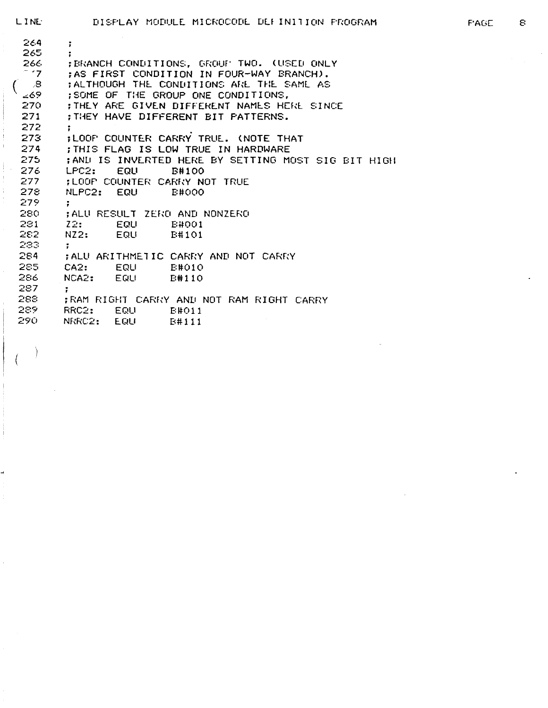264 ; 265 ;<br>266 ; 266 ;BRANCH CONDITIONS, GROUP' TWO. (USED ONLY<br>''7 :AS FIRST CONDITION IN FOUR-WAY BRANCH). *~ '7* ; AS FIRST CONDITION IN FOUR-WAY BRANCH). ( ,8 ) ; ALTHOUGH THE CONDITIONS ARE THE SAME AS<br><69 : SOME OF THE GROUP ONE CONDITIONS. L69 : SOME OF THE GROUP ONE CONDITIONS,<br>270 : THEY ARE GIVEN DIFFERENT NAMES HE 270 ; THEY ARE GIVEN DIFFERENT NAMES HERE SINCE<br>271 ; THEY HAVE DIFFERENT BIT PATTERNS. 271 ;THEY HAVE DIFFERENT BIT PATTERNS. 272 ;<br>273 ;। 273 ;LOOP COUNTER CARRY TRUE. (NOTE THAT<br>274 : THIS FLAG IS LOW TRUE IN HARDWARE 274 ;THIS FLAG IS LOW TRUE IN HARDWARE<br>275 :ANL IS INVERTED HERE BY SETTING MO 275 ;AND IS INVERTED HERE BY SETTING MOST SIG BIT HIGH 276 LPC2: EQU B#100 277 : LOOP COUNTER CARRY NOT TRUE<br>278 : NLPC2: EQU : B#000 NLPC2: EQU 279 ; 280 ; ALU RESULT ZERO AND NONZERO 281 Z2: EQU BttOOl B#101 1»o-> 283 **;**<br>284 ;ALU ARITHMETIC CARRY AND NOT CARRY  $285$  CA $2$ : EQU B#010 286 NCA2: EQU B#110 287 ; 288 ; RAM RIGHT CARFv'Y AND NOT RAM RIGHT CARRY RRC2: EQU B#011 290 NRRC2: EQU B#lll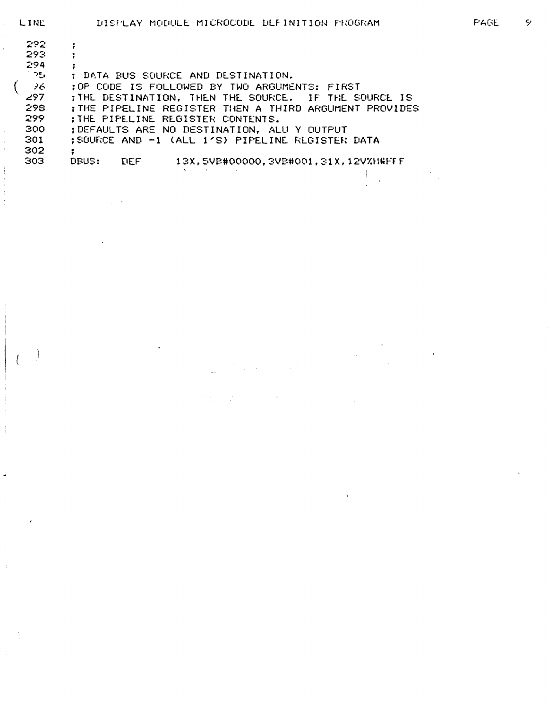| 292         |                                                                    |
|-------------|--------------------------------------------------------------------|
| 293.        |                                                                    |
| 294         |                                                                    |
| ಾಲ          | : DATA BUS SOURCE AND DESTINATION.                                 |
| $\lambda$ 6 | :OP CODE IS FOLLOWED BY TWO ARGUMENTS: FIRST                       |
| 297         | ; THE DESTINATION, THEN THE SOURCE. IF THE SOURCE IS               |
| 298         | : THE PIPELINE REGISTER THEN A THIRD ARGUMENT PROVIDES             |
| 299         | ; THE PIPELINE REGISTER CONTENTS.                                  |
| 300         | ; DEFAULTS ARE NO DESTINATION, ALU Y OUTPUT                        |
| 301         | :SOURCE AND -1 (ALL 1'S) PIPELINE REGISTER DATA                    |
| 302         |                                                                    |
| 303         | <b>NBUS:</b><br>13X,5VB#00000,3VB#001,31X,12V%H#FFF<br><b>TIEF</b> |
|             |                                                                    |

Ì

 $\overline{1}$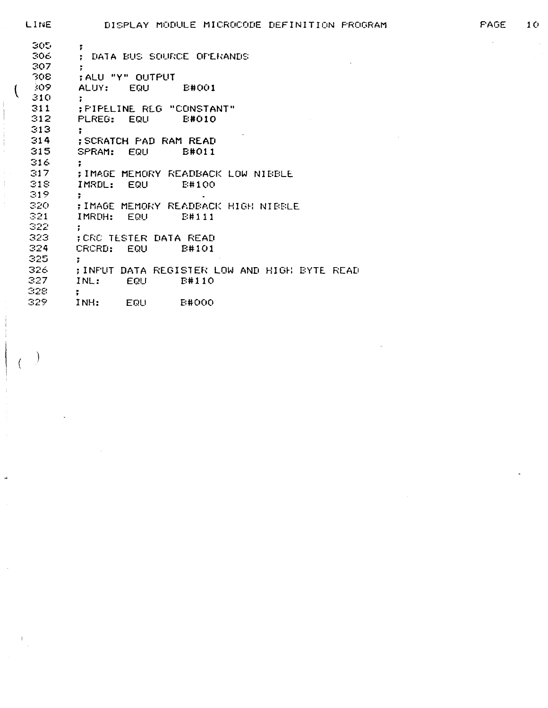| LINE | DISPLAY MODULE MICROCODE DEFINITION PROGRAM  | <b>FAGE</b> | 10 |
|------|----------------------------------------------|-------------|----|
| 305  | ÷.                                           |             |    |
| 306  | : DATA BUS SOURCE OFERANDS                   |             |    |
| 307  | ÷.                                           |             |    |
| 308  | : ALU "Y" OUTPUT                             |             |    |
| 309  | ALUY: EQU<br><b>E#001</b>                    |             |    |
| 310  |                                              |             |    |
| 311  | : FIPELINE REG "CONSTANT"                    |             |    |
| 312  | PLREG: EQU<br>E#010                          |             |    |
| 313  |                                              |             |    |
| 314  | <b>SCRATCH PAD RAM READ</b>                  |             |    |
| 315  | <b>EQU</b><br><b>E#011</b><br>SPRAM:         |             |    |
| 316  |                                              |             |    |
| 317  | ; IMAGE MEMORY READBACK LOW NIBBLE           |             |    |
| 318  | IMRDL: EQU<br>E#100                          |             |    |
| 319  |                                              |             |    |
| 320  | ; IMAGE MEMORY READBACK HIGH NIBBLE          |             |    |
| 321  | IMRDH: EQU<br>E#111                          |             |    |
| 322  |                                              |             |    |
| 323  | : CRC TESTER DATA READ                       |             |    |
| 324  | CRCRD:<br><b>EQU</b><br><b>E#101</b>         |             |    |
| 325  | ÷                                            |             |    |
| 326  | ; INFUT DATA REGISTER LOW AND HIGH BYTE READ |             |    |
| 327  | <b>EQU</b><br><b>E#110</b><br>INL:           |             |    |
| 328  |                                              |             |    |
| 329  | INH:<br>EQU<br><b>E#000</b>                  |             |    |

 $\overline{\mathcal{K}}$ 

 $\frac{1}{2}$ 

 $\frac{1}{2}$ 

 $\overline{a}$ 

 $\mathcal{A}^{\prime}$ 

 $\frac{1}{2}$ 

 $\big)$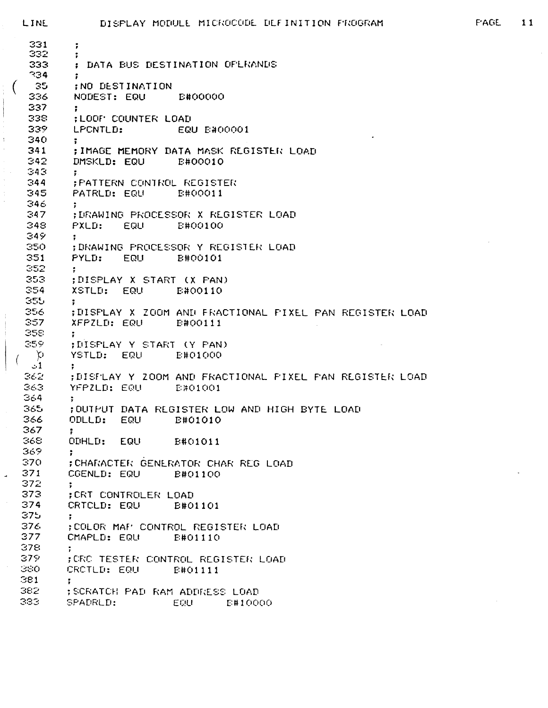```
DISPLAY MODULE MICROCODE DEFINITION PROGRAM
LINE
 331
         \ddot{r}332
         к.
 333
         ; DATA BUS DESTINATION OF ERANDS
 334\ddot{\phantom{a}}35
         ; NO DESTINATION
 336.
         NODEST: EQU
                            E#00000
 337
 338
         ; LOOF COUNTER LOAD
 339
         LPCNTLD:
                            EQU E#00001
 340
         \ddot{\phantom{a}}341
         ; IMAGE MEMORY DATA MASK REGISTER LOAD
 342
         DMSKLD: EQU
                            E#00010
 343\ddot{\phantom{a}}344
         ; PATTERN CONTROL REGISTER
345
         PATRLD: EQU
                        E#00011
346
         \ddot{\cdot}347
         ; DRAWING PROCESSOR X REGISTER LOAD
348
```
349

350

351

 $352<sub>1</sub>$ 

353

 $354$ 

355-356.

357

358. 359

 $\infty$ 

 $-1$ 

362

363.

364

365.

366

367

368.

369

370.

371

372

373 374

375

376

377

378.

379.

380-

381

382

383 -

 $\overline{a}$ 

 $\ddot{\cdot}$ 

 $\ddot{\phantom{1}}$ 

 $\ddot{\cdot}$ 

÷.

÷

 $\ddot{\phantom{1}}$ 

 $\ddot{\phantom{a}}$ 

к.

ODLLD: EQU

ODHLD: EQU

CGENLD: EQU

CRTCLD: EQU

CMAPLD: EQU

CROTLD: EQU

SPADRLD:

; CRT CONTROLER LOAD

```
PXLD: EQU E#00100
; DRAWING PROCESSOR Y REGISTER LOAD
PYLD: EQU
                E#00101
\ddot{\mathbf{r}}; DISPLAY X START (X PAN)
XSTLD: EQU
                E#00110
; DISPLAY X ZOOM AND FRACTIONAL FIXEL PAN REGISTER LOAD
XFPZLD: EQU
               E#00111
; DISPLAY Y START (Y PAN)
YSTLD: EQU E#01000
; DISFLAY Y ZOOM AND FRACTIONAL FIXEL FAN REGISTER LOAD
YFPZLD: EQU
                E#01001
```
; OUTPUT DATA REGISTER LOW AND HIGH BYTE LOAD

**E#01010** 

E#01011

; CHARACTER GENERATOR CHAR REG LOAD

; COLOR MAF' CONTROL REGISTER LOAD

; CRC TESTER CONTROL REGISTER LOAD

; SCRATCH PAD RAM ADDRESS LOAD

B#01100

**E#01101** 

E#01110

E#01111

E#10000

EQU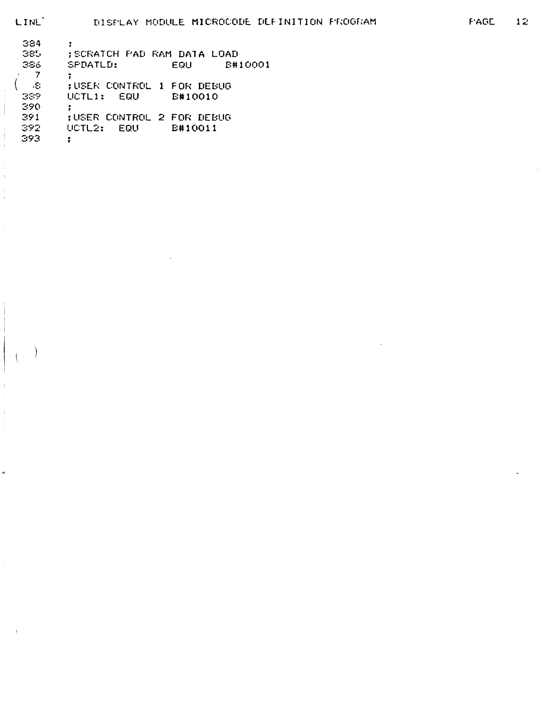-)

ä

 $\pm$ 

đ

| 384<br>385 | ; SCRATCH PAD RAM DATA LOAD      |
|------------|----------------------------------|
| 386        | SPDATLD:<br>E#10001<br>EQU       |
|            |                                  |
| З.         | :USER CONTROL 1 FOR DEBUG        |
| 339        | UCTL1: EQU<br>E#10010            |
| 390        |                                  |
| 391        | <b>;USER CONTROL 2 FOR DEBUG</b> |
| 392        | UCTL2: EQU<br>E#10011            |
| 393        |                                  |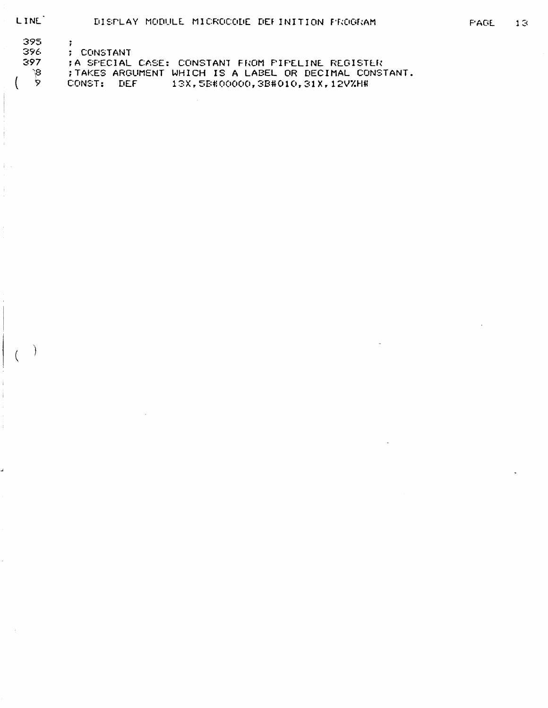LINE<sup>1</sup>

 $\overline{\mathcal{L}}$ 

| 395 |          |
|-----|----------|
| 396 | CONSTANT |

- 397 ; A SPECIAL CASE: CONSTANT FROM PIPELINE REGISTER
	- $\beta'$ ; TAKES ARGUMENT WHICH IS A LABEL OR DECIMAL CONSTANT.
		- $\mathbf{\dot{z}}$ CONST: DEF 13X,5B#00000,3B#010,31X,12V%H#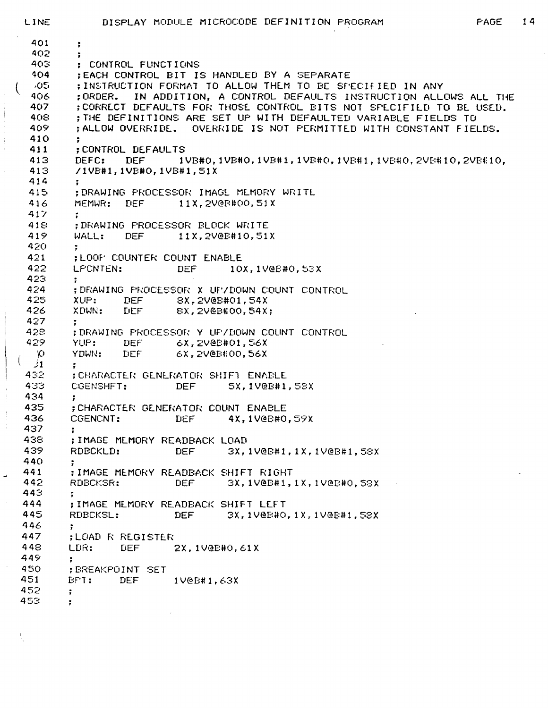401 ;  $402$  ;<br> $403$  : 403 ; CONTROL FUNCTIONS<br>404 ;EACH CONTROL BIT I: 404 ;EACH CONTROL BIT IS HANDLED BY A SEPARATE OS : ; INSTRUCTION FORMAT TO ALLOW THEM TO BE SPECIFIED IN ANY<br>406 : ; ORDER. IN ADDITION, A CONTROL DEFAULTS INSTRUCTION ALLO 406 ;ORDER. IN ADDITION, A CONTROL DEFAULTS INSTRUCTION ALLOWS ALL THE 407 : CORRECT DEFAULTS FOR THOSE CONTROL BITS NOT SPECIFIED TO BE USED.<br>408 : THE DEFINITIONS ARE SET UP WITH DEFAULTED VARIABLE FIELDS TO 408 ; THE DEFINITIONS ARE SET UP WITH DEFAULTED VARIABLE FIELDS TO 40? ;ALLOW OVERRIDE. OVERRIDE IS NOT PERMITTED WITH CONSTANT FIELDS.  $410$  ;<br> $411$  ; 411 ; CONTROL DEFAULTS<br>413 DEFC: DEF 1' 413 DEFC: DEF 1VB#0,1VB#0,1VB#1,1VB#0,1VB#1,1VB#1,1VB#0,2VB#10,2VB#10,<br>413 /1VB#1.1VB#0.1VB#1.51X 413 /IVB#1, 1 VB#0, 1 VB#1,51X 414<br>415 415 ; DRAWING PROCESSOR IMAGE MEMOFxY WRITE 416 MEMWR: DEF 11X, 2V@B#00, 51X 417 ; 418 ;DRAWING PROCESSOR BLOCK WRITE 419 WALL: DEF 11X,2V@B#10,51X 420 ; 421 ; LOOP' COUNTER COUNT ENABLE LPCNTEN: DEF 10X,1V@B#0,53X 423 ;<br>424 ; 424 ;DR'AWING PROCESSOR X UP/DOWN COUNT CONTROL 425 XUP: DEF 8X,2V@B#01,54X DEF 8X,2V@B#00,54X; 427 ;<br>428 ; 428 ;DRAWING PROCESSOR Y UP/DOWN COUNT CONTROL<br>429 YUP: DEF 6X,2V@B#01,56X DEF 6X, 2V@B#01, 56X  $\varphi$  YDWN: DEF 6X, 2V@B#00, 56X  $\frac{31}{432}$  ; 432 ; CHAFsACTER GENERATOR SHIFT ENABLE 5X, 1 V@B# 1, 58X 434 ; 435 ; CHARACTER GENERATOR COUNT ENABLE CGENCNT: DEF 4X,1V@B#0,59X 437 ; 438 ;IMAGE MEMORY READBACK LOAD 439 RDBCKLD: DEF 3X, 1V@B#1, 1X, 1V@B#1, 58X 440 ;<br>441 ; 441 ;IMAGE MEMORY READBACK SHIFT RIGHT 442 RDBCKSR: DEF 3X, 1V@B#1, IX, 1V@B#0,58X  $443$ <br> $444$ 444 ;IMAGE MEMORY READBACK SHIFT LEFT 3X,1V@B#0,1X,1V@B#1,58X 446 ;<br>447 : 447 ;LOAD R REGISTER LDR: DEF 2X,1V@E#0,61X<br>; 449 ; 450 ; BREAKPOINT SET<br>451 : BFT: DEF DEF 1V@B#1,63X 452 ; 453 r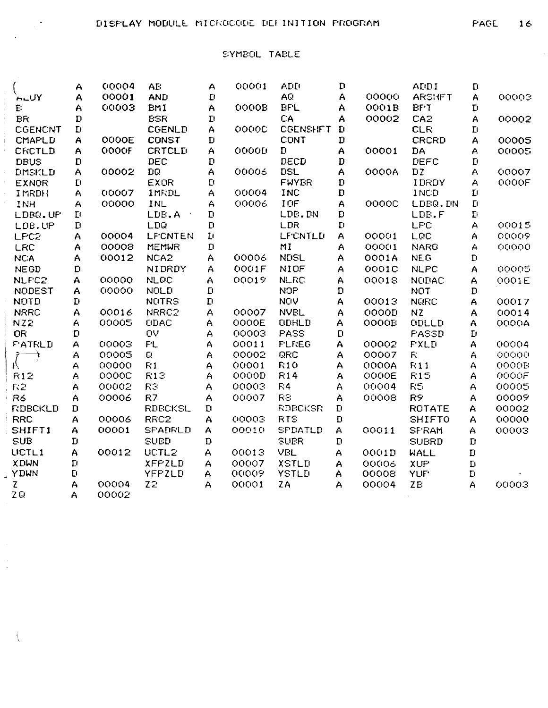$\frac{1}{4}$ 

 $\ddot{\phantom{0}}$  $\bar{z}$ 

 $\sim$ 

## SYMBOL TABLE

|                  | A            | 00004        | AE:              | A            | 00001 | ADD             | $\mathbf{D}$ |              | ADII           | $\mathbf{L}$            |              |
|------------------|--------------|--------------|------------------|--------------|-------|-----------------|--------------|--------------|----------------|-------------------------|--------------|
| <b>ALUY</b>      | A            | 00001        | <b>AND</b>       | $\mathbf D$  |       | AQ.             | A            | 00000        | <b>ARSHET</b>  | $\overline{A}$          | 00003        |
| E.               | A            | 00003        | <b>BMI</b>       | A            | OOOOB | <b>BFL</b>      | A            | 0001B        | <b>BFT</b>     | $\mathbf{L}$            |              |
| <b>BR</b>        | $\mathbf{D}$ |              | <b>BSR</b>       | $\mathbf{D}$ |       | CA              | A            | 00002        | CA2            | A                       | 00002        |
| <b>CGENCNT</b>   | $\mathbf{D}$ |              | <b>CGENLD</b>    | A            | 00000 | <b>CGENSHFT</b> | $\mathbf{D}$ |              | <b>CLR</b>     | $\mathbf{L}$            |              |
| <b>CMAPLD</b>    | A            | <b>OOOOE</b> | CONST            | $\mathbf{D}$ |       | CONT            | D            |              | CRCRD          | A                       | 00005        |
| CRCTLD           | A            | OOOOF        | <b>CRTCLD</b>    | A            | OOOOD | Đ               | A            | 00001        | <b>DA</b>      | A                       | 00005        |
| <b>DBUS</b>      | D            |              | DEC              | $\mathbf{D}$ |       | DECD            | D            |              | <b>DEFC</b>    | $\mathbf{D}$            |              |
| <b>LIMSKLD</b>   | A            | 00002        | DQ               | A            | 00006 | DSL             | A            | OOOOA        | <b>DZ</b>      | A                       | 00007        |
| <b>EXNOR</b>     | $\mathbf{L}$ |              | <b>EXOR</b>      | $\mathbf{D}$ |       | <b>FWYBR</b>    | D            |              | IDRDY          | Α                       | OOOOF        |
| IMRDH            | A            | 00007        | IMRDL            | A            | 00004 | <b>INC</b>      | $\mathbf{D}$ |              | <b>INCD</b>    | $\mathbf{L}$            |              |
| INH              | A            | 00000        | INL              | A            | 00006 | IOF             | A            | OOOOC        | LDBQ.DN        | $\mathbf D$             |              |
| LDBQ.UF          | $\mathbf{L}$ |              | LDB.A            | D            |       | LDB.DN          | D            |              | LDB.F          | $\mathbf D$             |              |
| LDB.UP           | $\mathbf D$  |              | LDQ              | $\mathbf D$  |       | LDR             | $\mathbf{L}$ |              | <b>LFC</b>     | A                       | 00015        |
| LPC <sub>2</sub> | A            | 00004        | LFCNTEN          | $\mathbf{L}$ |       | <b>LF'CNTLU</b> | A            | 00001        | LQC            | A                       | 00009        |
| LRC              | A            | 00008        | <b>MEMWR</b>     | $\mathbf D$  |       | MI              | A            | 00001        | <b>NARG</b>    | А                       | 00000        |
| <b>NCA</b>       | A            | 00012        | NCA <sub>2</sub> | A            | 00006 | <b>NEISL</b>    | Α            | 0001A        | <b>NEG</b>     | $\mathbf{L}^{\text{I}}$ |              |
| <b>NEGD</b>      | $\mathbf{D}$ |              | NIDRDY           | A            | OO01F | NIOF            | A            | OOO1C        | <b>NLPC</b>    | A                       | 00005        |
| NLFC2            | A            | 00000        | <b>NLCC</b>      | A            | 00019 | <b>NLRC</b>     | A            | 00018        | <b>NUDAC</b>   | A                       | 0001E        |
| NODEST           | A            | 00000        | NOLD             | $\mathbf{D}$ |       | <b>NOP</b>      | D            |              | <b>NOT</b>     | D                       |              |
| <b>NOTD</b>      | $\mathbf D$  |              | <b>NOTRS</b>     | D            |       | <b>NOV</b>      | A            | 00013        | <b>NQRC</b>    | A                       | 00017        |
| <b>NRRC</b>      | A            | 00016        | NRRC2            | A            | 00007 | <b>NVEL</b>     | A            | OOOOD        | <b>NZ</b>      | A                       | 00014        |
| NZ2              | A            | 00005        | <b>ODAC</b>      | A            | OOOOE | ODHLD           | A            | <b>OOOOE</b> | <b>CIDLLD</b>  | A                       | OOOOA        |
| OR               | $\mathbf{D}$ |              | ŪV               | A            | 00003 | <b>FASS</b>     | $\mathbf{L}$ |              | FASSD          | $\mathbf{D}$            |              |
| <b>FATRLD</b>    | A            | 00003        | <b>PL</b>        | A            | 00011 | <b>FLEEG</b>    | A            | 00002        | <b>FXLD</b>    | A                       | 00004        |
|                  | A            | 00005        | Q                | A            | 00002 | QRC             | A            | 00007        | F <sub>c</sub> | $\bigwedge$             | 00000        |
| W                | A            | 00000        | R1               | A            | 00001 | <b>R10</b>      | A            | OOOOA        | R11            | A                       | <b>OOOOB</b> |
| R12              | A            | OOOOC        | R13              | Α            | OOOOD | <b>R14</b>      | A            | OOOOE        | <b>R15</b>     | A                       | OOOOF        |
| F <sub>5</sub>   | A            | 00002        | R3               | A            | 00003 | FA              | A            | 00004        | R5             | A                       | 00005        |
| R6               | A            | 00006        | R7               | A            | 00007 | <b>RS</b>       | A            | 00008        | R9             | A                       | 00009        |
| <b>RDBCKLD</b>   | D            |              | <b>RDBCKSL</b>   | $\mathbf D$  |       | <b>RDBCKSR</b>  | $\mathbf{D}$ |              | <b>ROTATE</b>  | A                       | 00002        |
| <b>RRC</b>       | A            | 00006        | RRC <sub>2</sub> | A            | 00003 | <b>RTS</b>      | $\mathbf D$  |              | <b>SHIFTO</b>  | A                       | 00000        |
| SHIFT1           | A            | 00001        | <b>SFADRLD</b>   | Ą            | 00010 | <b>SPDATLD</b>  | A            | 00011        | <b>SFRAM</b>   | A                       | 00003        |
| <b>SUB</b>       | $\mathbf D$  |              | <b>SUBD</b>      | $\mathbf D$  |       | <b>SUBR</b>     | $\mathbf D$  |              | <b>SUBRD</b>   | $\mathbf D$             |              |
| <b>UCTL1</b>     | A            | 00012        | UCTL2            | A            | 00013 | VBL             | A            | OO01D        | WALL           | $\mathbf D$             |              |
| <b>XDWN</b>      | D            |              | <b>XFPZLD</b>    | A            | 00007 | <b>XSTLD</b>    | A            | 00006        | XUP            | $\mathbf D$             |              |
| YDWN             | $\mathbf{L}$ |              | YFPZLD           | A            | 00009 | <b>YSTLD</b>    | A            | 00008        | <b>YUF</b>     | $\mathbf{D}$            |              |
| Z.               | A            | 00004        | Z <sub>2</sub>   | A            | 00001 | ZA              | Α            | 00004        | ZB             | A                       | 00003        |
| ZQ               | A            | 00002        |                  |              |       |                 |              |              |                |                         |              |
|                  |              |              |                  |              |       |                 |              |              |                |                         |              |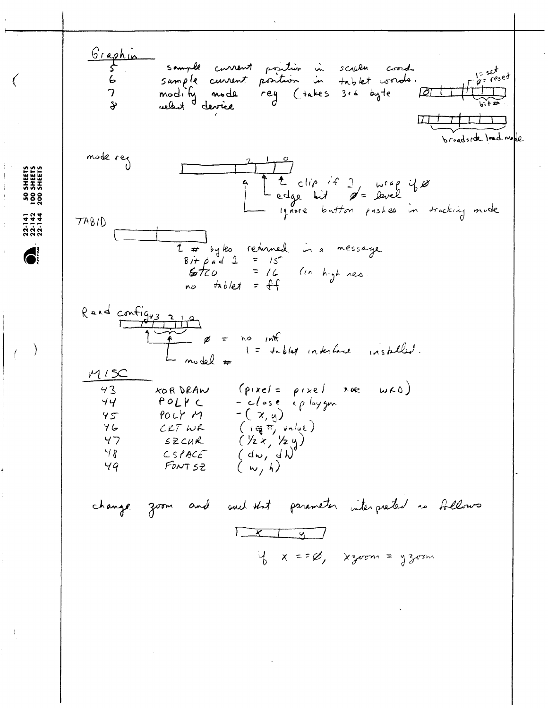50 SHEETS<br>100 SHEETS<br>200 SHEETS

 $\sum_{n=0}^{22-141}$ 

j  $\bar{1}$   $\left($ 

€

 $\frac{1}{2}$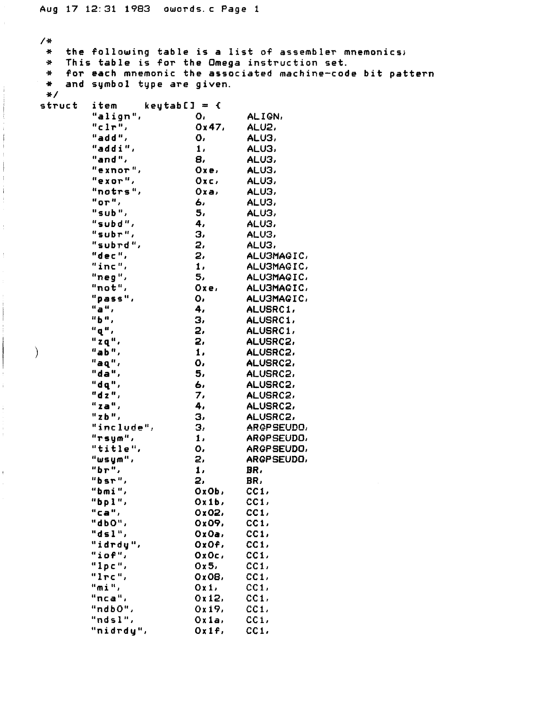$\mathfrak{g}$ 

ï

 $\bar{V}$ 

**/\* \* the following table is a list of** assembler **mnemonics; \* This table is for the Omega instruction set. \* for each mnemonic the associated machine-code bit pattern \* and symbol type are given.**   $struct$ item keytabC] = {<br>"align", O, **"align", 0, ALIGN, "clr", 0x47, ALU2, "add", 0, ALU3, "addi", 1, ALU3, "and", 8, ALU3, "exnor", Oxe, ALU3, "exor", Oxc, ALU3, "notrs", Oxa» ALU3, "or"/ 6, ALU3, "sub", 5, ALU3, "subd", 4, ALU3, "subr3 , ALU3, "subrd ", 2, ALU3, "dec", 2, ALU3MAGIC, "inc", 1, ALU3MAGIC, "neg", 5, ALU3MAGIC, "not", Oxe, ALU3MAGIC, "pass", 0, ALU3MAGIC, "a", 4, ALUSRC1, "b", 3, ALUSRC1,**  2, ALUSRC1,<br>2, ALUSRC2, "zq", 2, ALUSRC2,<br>"ab", 1, ALUSRC2, **) "ab", 1, ALUSRC2, "aq", 0, ALUSRC 2, "da", 5, ALUSRC2, "dq",** *6.* **ALUSRC 2, "dz", 7, ALUSRC2, "za", 4, ALUSRC2, "zb", 3, ALUSRC2,**  winclude", 3,<br>"rsym", 1, **"rsym", 1, ARGPSEUDO, "title", 0, ARGPSEUDO, "wsym", 2, ARGPSEUDO, "br", 1, BR, "bsr", 2, BR, "bmi", OxOb, CC1, "bpl", Ox lb, CC1,**  0x02, CC1,<br>0x09, CC1, **"dbO", 0x09, CC1, "d s 1", CxOa, "idrdy", OxOf, CC1,**   $"iof",$   $OxOc,$ **"Ipc", 0x5, CC1, "lrc", 0x08, CC1, "mi", Oxl, CC1, "nca",** 0x12, **"ndbO", 0x19, CCi, "ndsl", Ox la, CCI, "nidrdy", Oxlf, CCI,**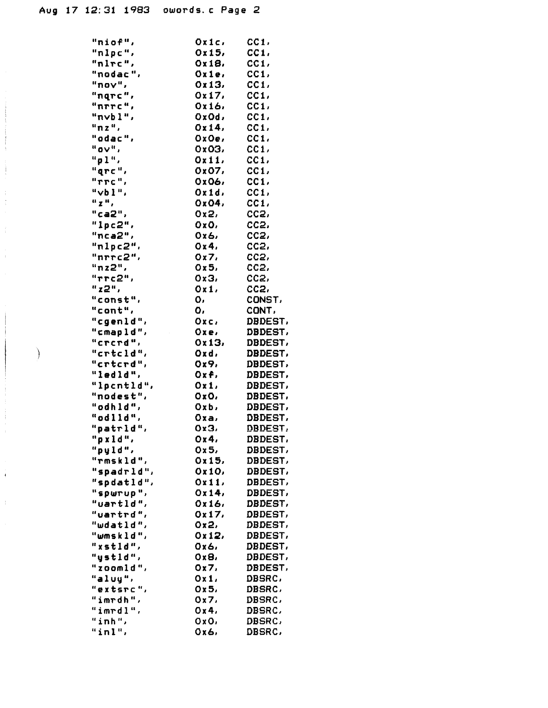$\begin{array}{c} \begin{array}{c} \begin{array}{c} \begin{array}{c} \end{array} \\ \end{array} \end{array} \end{array}$ 

 $\begin{array}{ccc}\n\ddot{\alpha} & \dot{\alpha} \\
\dot{\alpha} & \dot{\alpha}\n\end{array}$ 

 $\bar{f}$ 

j.

 $\mathcal{L}$ 

| "niof",                          | Oxic,       | CC1               |
|----------------------------------|-------------|-------------------|
| "nlpc",                          | 0x15,       | CC1.              |
| $"n\ln c"$ ,                     | Ox18,       | CC1,              |
| "nodac",                         | Oxie,       | CC1,              |
| "nov",                           | 0x13.       | CC1               |
| "nqrc",                          | 0x17.       | CC1,              |
| "חדדכ",                          | Ox16,       | CC1,              |
| "nvbl",                          | OxOd,       | CC1.              |
| "nz",                            | 0x14,       | CC1,              |
| "odac",                          | 0x0e,       | CC1.              |
| " <b>OV</b> ",                   | 0x03,       | CC1               |
| "p1",                            | 0x11.       | CC1               |
| "grc",                           | Ox07,       | CC1.              |
| "TTC"                            | Ox06,       | CC1.              |
| "vbl",                           | Oxid.       | CC1,              |
| $\mathbf{u} \times \mathbf{u}$ , | Ox04,       | CC1,              |
| "ca2"                            | 0x2,        | CC2,              |
| "lpc2",                          | OxO,        | CC <sub>2</sub> , |
| " $nca2$ ",                      | Ox6,        | ccz               |
| " $nlpc2"$                       | 0x4         | CC <sub>2</sub> , |
| "nrrc $2$ ",                     | Ox7         | $cc2$ ,           |
| "nz2",                           | 0x5,        | cc <sub>2</sub> , |
| "rrc2",                          | 0x3,        | cc2,              |
| "z2",                            | Ox1,        | CC <sub>2</sub> , |
| "const",                         | ο,          | CONST,            |
| "cont",                          | ο,          | CONT,             |
| "cgenld",                        | 0xc,        | DBDEST,           |
| "cmapld",                        | 0xe.        | DBDEST,           |
| "crerd",                         | 0x13.       | DBDEST,           |
| "crtcld",                        | Oxd,        | DBDEST,           |
| "crtcrd",                        | <b>Ox9,</b> | <b>DBDEST.</b>    |
| "ledld",                         | Oxf,        | DBDEST,           |
| "lpcntld",                       | Oxi,        | DBDEST,           |
| "nodest",                        | OxO,        | DBDEST,           |
| "odhld",                         | Oxb,        | DBDEST,           |
| "odlld",                         | Oxa,        | DBDEST,           |
| "patrld",                        | 0x3,        | <b>DBDEST.</b>    |
| "pxld",                          | 0x4.        | DBDEST,           |
| "pyld",                          | 0x5,        | <b>DBDEST,</b>    |
| "rmskld",                        | 0x15.       | DBDEST,           |
| "spadrld",                       | Ox10,       | <b>DBDEST,</b>    |
| "spdatld",                       | 0x11,       | DBDEST,           |
| "spwrup",                        | 0x14,       | DBDEST,           |
| "uartld",                        | 0x16,       | DBDEST,           |
| "uartrd",                        | 0x17.       | DBDEST,           |
| "wdatld",                        | 0x2.        | DBDEST,           |
| "wmskld",                        | 0x12.       | <b>DBDEST,</b>    |
| "xstld",                         | 0x6.        | DBDEST,           |
| "ystld",                         | 0xB.        | DBDEST,           |
| "zoomld",                        | 0x7,        | DBDEST,           |
| "aluy",                          | 0x1         | DBSRC,            |
| "extsrc",                        | 0x5.        | DBSRC,            |
| "imrdh",                         | 0x7.        | DBSRC,            |
| "imrdl",                         | 0x4         | DBSRC,            |
| "inh",                           | 0x0.        | DBSRC,            |
| "inl",                           | 0x6.        | DBSRC,            |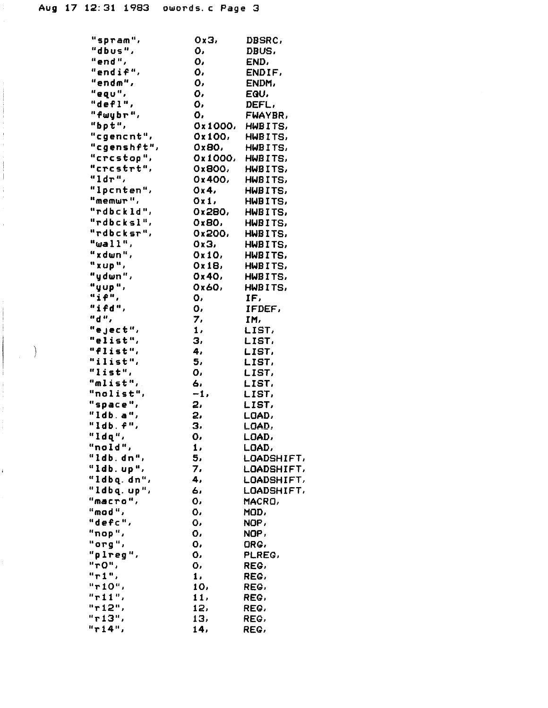Ť

Ŷ.

 $\frac{1}{1}$ 

 $\overline{1}$ 

 $\hspace{0.1cm} \rightarrow$ 

| "spram",      | Oх3,          | <b>DBSRC,</b> |
|---------------|---------------|---------------|
| "dbus",       | ο,            | DBUS,         |
| "end",        | Ο,            | END,          |
| "endif",      | ο,            | ENDIF,        |
| "endm",       | Ο,            | ENDM,         |
| "equ",        | ο,            | EQU.          |
| "defl",       | ٥,            | DEFL,         |
| "fwybr",      | ο.            | FWAYBR,       |
| "bpt",        | 0x1000,       | HWBITS,       |
| "cgencnt",    | 0x100,        | HWBITS,       |
| "cgenshft",   |               | HWBITS,       |
|               | 0x80.         |               |
| "crestop",    | Ox1000,       | HWBITS,       |
| "crcstrt",    | 0x800.        | HWBITS,       |
| "ldr",        | 0x400,        | HWBITS,       |
| "Ipcnten",    | 0x4           | HWBITS,       |
| "memur",      | Oxi,          | HWBITS,       |
| "rdbckld",    | 0x280,        | HWBITS,       |
| "rdbcksl",    | 0x80,         | HWBITS,       |
| "rdbcksr",    | 0x200.        | HWBITS,       |
| "wall",       | 0x3,          | HWBITS,       |
| "xdwn",       | Ox10,         | HWBITS,       |
| "xup",        | 0x18,         | HWBITS,       |
| "ydwn",       | 0x40,         | HWBITS,       |
| "yup",        | 0x60,         | HWBITS,       |
| "if",         | ٥,            | IF,           |
| "ifd",        |               |               |
|               | ο,            | IFDEF,        |
| "d",          | 7,            | IM,           |
| "eject",      | $\mathbf 1$ , | LIST,         |
| "elist",      | з,            | LIST,         |
| "flist",      | 4,            | LIST,         |
| "ilist",      | 5,            | LIST,         |
| "list",       | ο.            | LIST,         |
| "mlist",      | 6,            | LIST,         |
| "nolist",     | $-1.$         | LIST,         |
| "space",      | 2,            | LIST,         |
| " $1db$ . a", | 2,            | LOAD,         |
| "1db. f",     | з,            | LOAD,         |
| "ldq",        | Ο,            | LOAD,         |
| "nold",       | 1,            | LOAD,         |
| "ldb.dn",     | 5,            | LOADSHIFT,    |
| "ldb.up",     | 7,            | LOADSHIFT,    |
| "ldbq.dn",    | 4,            |               |
|               |               | LOADSHIFT,    |
| "ldbq.up",    | 6,            | LOADSHIFT,    |
| $"$ macro",   | ٥,            | MACRO,        |
| "mod",        | ٥,            | MOD,          |
| "defc",       | о.            | NOP,          |
| "nop",        | о,            | NOP,          |
| "org",        | ο,            | ORG.          |
| "plreg",      | ٥,            | PLREG.        |
| "r0",         | Ο,            | REG.          |
| "r1",         | 1,            | REG,          |
| "r10",        | 10,           | REG.          |
| "r11",        | 11,           | REG,          |
| "r12",        | 12,           | REG,          |
| "ri3",        | 13,           | REG,          |
| "r14",        | 14,           | REG,          |
|               |               |               |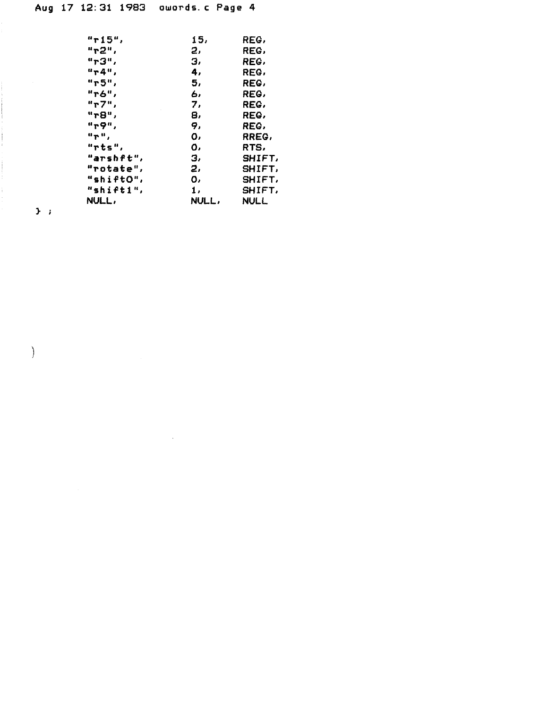| "r15",                                   | 15,   | REG,          |
|------------------------------------------|-------|---------------|
| "r2",                                    | 2,    | REG,          |
| "rЗ",                                    | з,    | REG,          |
| "r4",                                    | 4,    | REG,          |
| "r5",                                    | 5,    | REG,          |
| "r6",                                    | ь,    | REG,          |
| "r7",                                    | 7,    | REG,          |
| "r8",                                    | 8,    | REG,          |
| "т9",                                    | 9,    | REG,          |
| $\mathbf{u}$ $\mathbf{p}$ $\mathbf{u}$ , | ο,    | RREG,         |
| "rts",                                   | ٥,    | RTS,          |
| "arshft",                                | з,    | SHIFT,        |
| "rotate",                                | 2,    | SHIFT,        |
| "shiftO",                                | 0,    | <b>SHIFT,</b> |
| "shift1",                                | 1,    | SHIFT,        |
| NULL,                                    | NULL, | <b>NULL</b>   |

 $\mathbf{y}$  :

 $\Big)$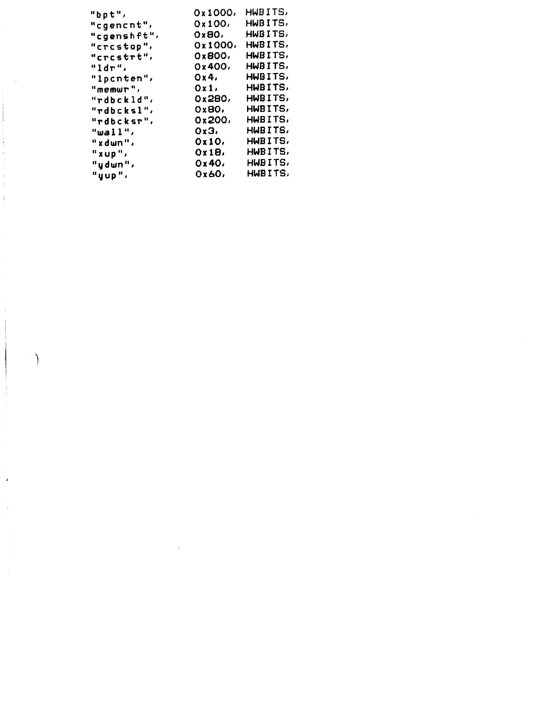| "bpt",      | 0x1000, | HWBITS, |
|-------------|---------|---------|
| "cgencnt",  | 0x100.  | HWBITS, |
| "cgenshft", | 0x80,   | HWBITS, |
| "crcstop",  | 0x1000, | HWBITS. |
| "crcstrt",  | 0x800.  | HWBITS, |
| "ldr",      | 0x400,  | HWBITS, |
| "lpcnten",  | 0x4,    | HWBITS, |
| "memur",    | Oxi,    | HWBITS, |
| "rdbckld",  | 0x280,  | HWBITS, |
| "rdbcksl",  | 0x80,   | HWBITS, |
| "rdbcksr",  | 0x200,  | HWBITS, |
| "wall",     | 0x3.    | HWBITS, |
| "xdwn",     | Ox10,   | HWBITS, |
| "xup",      | Ox18,   | HWBITS, |
| "ydwn",     | 0x40,   | HWBITS, |
| "yup",      | 0x60,   | HWBITS, |
|             |         |         |

 $\label{eq:2.1} \frac{1}{\sqrt{2}}\int_{\mathbb{R}^3}\frac{1}{\sqrt{2}}\left(\frac{1}{\sqrt{2}}\right)^2\frac{1}{\sqrt{2}}\left(\frac{1}{\sqrt{2}}\right)^2\frac{1}{\sqrt{2}}\left(\frac{1}{\sqrt{2}}\right)^2.$ 

 $\frac{1}{2} \sum_{i=1}^{n} \frac{1}{2} \sum_{i=1}^{n} \frac{1}{2} \sum_{i=1}^{n} \frac{1}{2} \sum_{i=1}^{n} \frac{1}{2} \sum_{i=1}^{n} \frac{1}{2} \sum_{i=1}^{n} \frac{1}{2} \sum_{i=1}^{n} \frac{1}{2} \sum_{i=1}^{n} \frac{1}{2} \sum_{i=1}^{n} \frac{1}{2} \sum_{i=1}^{n} \frac{1}{2} \sum_{i=1}^{n} \frac{1}{2} \sum_{i=1}^{n} \frac{1}{2} \sum_{i=1}^{n$ 

 $\bar{4}$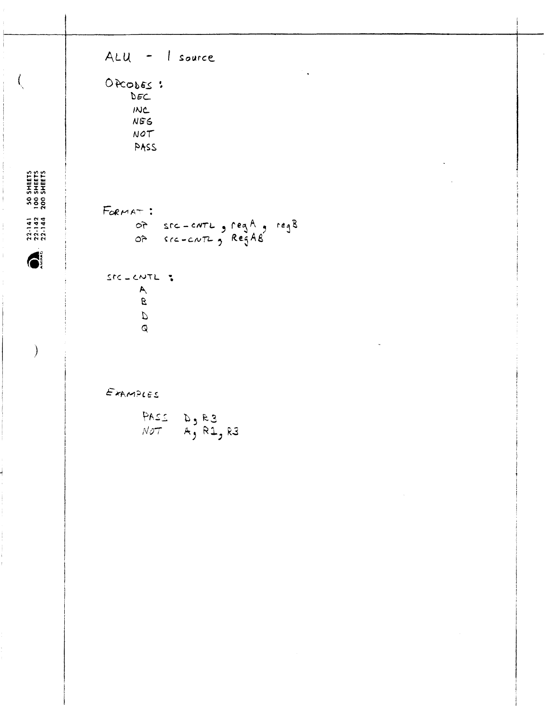| ALU - I source                                                                 |  |
|--------------------------------------------------------------------------------|--|
| $\mathbb{R}_{+}$<br>OPCODES:<br>DEC<br><b>INC</b><br><b>NEG</b><br>NOT<br>PASS |  |
| FORMAT:<br>of sic-carl, reg A, reg B<br>of sic-carl, Reg AB                    |  |
| STC-CNTL :<br>$\check{a}$<br>$\mathcal{D}$<br>$\mathcal{Q}$                    |  |
| EXAMPLES<br>PASS $D_5$ R3<br>NOT A, R1, R3                                     |  |
|                                                                                |  |

50 SHEETS<br>100 SHEETS<br>200 SHEETS

j  $\mathfrak{f}$  $\hat{\boldsymbol{\gamma}}$ 

 $\frac{1}{4}$ 

 $\mathfrak{f}$ 

 $\left\langle \right\rangle$ 

ı

 $\begin{array}{c} 22.141 \\ 22.142 \\ 23.142 \end{array}$ 

 $\bullet$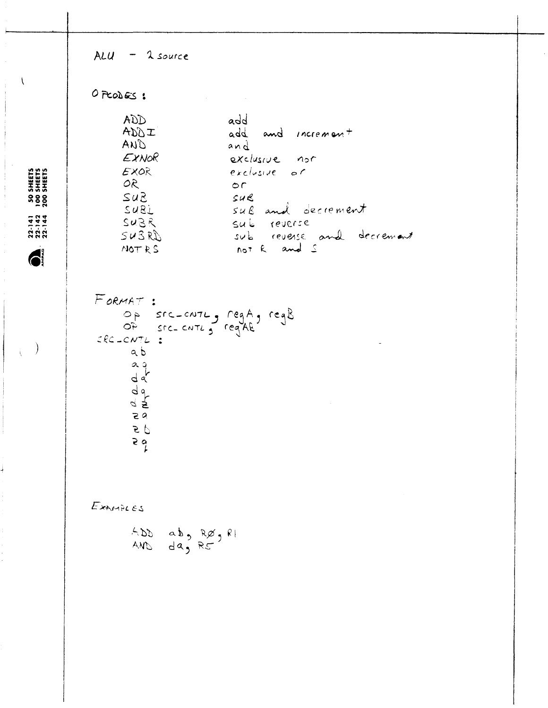$ALU - 1$  source OPCODES: **ADD** add ADDI add and increment AND and EXNOR exclusive not 50 SHEETS<br>100 SHEETS<br>200 SHEETS EXOR exclusive or  $OR$  $\circ$ r  $SUS$  $SUE$  $SUBL$ sul and decrement SUBR sub reverse  $SUSRD$ sub reverse and decrement not R and S NOT RS 6 FORMAT : Op src-cute, regA, regB<br>Of src-cute, regA&  $ERC$ -CNTL:  $\big)$  $a b$  $a + b$  $\frac{d}{dt}$  $59$  $\sigma$  $\overline{5}$ EXAMPLES  $ADD$  ab,  $RØ$ ,  $R1$ AND das R5

 $22 - 141$ <br>  $22 - 142$ <br>  $22 - 144$ 

 $\mathbf{I}$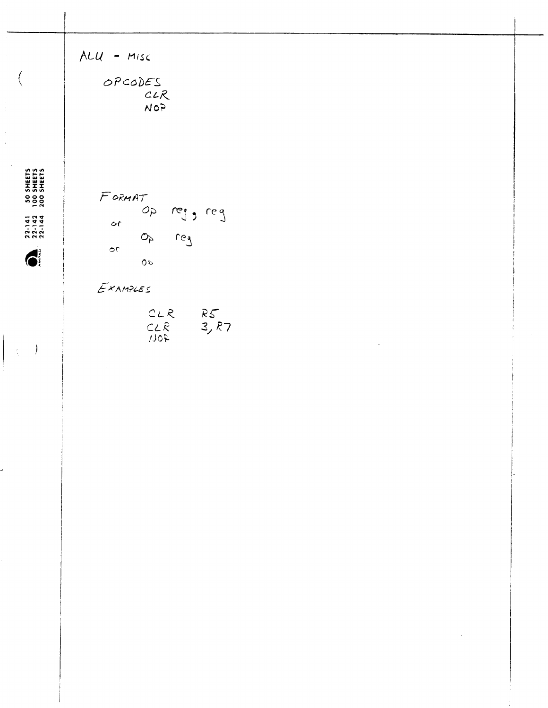|                                                                                           | $ALU - MISC$<br>OPCODES<br>CLR<br>NOP                                            |  |  |
|-------------------------------------------------------------------------------------------|----------------------------------------------------------------------------------|--|--|
| SHEETS<br>SHEETS<br>SHEETS<br><b>500</b><br>2001<br>$22.141$<br>$22.142$<br>$22.142$<br>C | $F$ ORMAT<br>op reg , reg<br>$\circ$ r<br>$O_{P}$ reg<br>$\circ$<br>$\epsilon$ 0 |  |  |
| $\mathcal{E}$                                                                             | EXAMPLES<br>$CLR$ $RS$<br>$CLR$ 3, $R7$<br>$\sim$                                |  |  |
|                                                                                           |                                                                                  |  |  |
|                                                                                           |                                                                                  |  |  |
|                                                                                           |                                                                                  |  |  |

 $\left($ 

 $\begin{array}{c} \begin{array}{c} \begin{array}{c} \end{array} \\ \begin{array}{c} \end{array} \end{array} \end{array}$ 

 $\frac{1}{3}$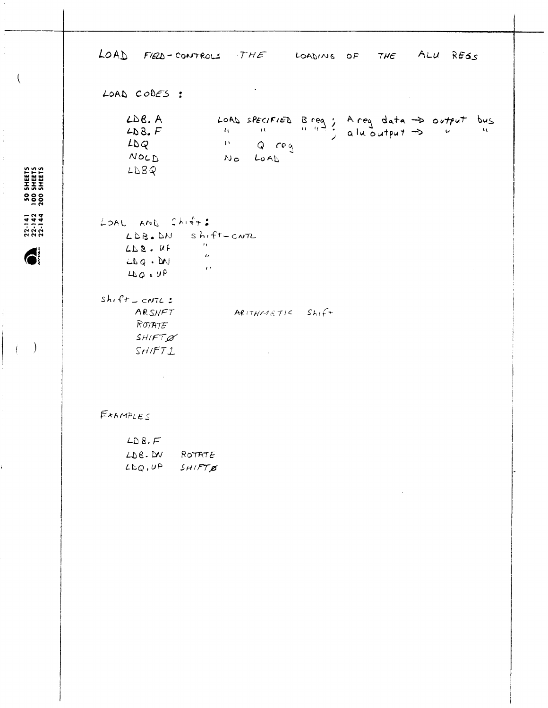LOAD FIED-CONTROLS THE LOADING OF THE ALU REGS  $\mathbf{v}$ LOAD CODES : LOAD specified Breaz Area data  $\Rightarrow$  output bus  $LDB.A$  $LDB$ .  $F$ <sup>11</sup> Q reg  $L\Delta Q$ NOLD NO LOAD  $LDBQ$ LOAL AND Shift: LDB. DN Shift-CNTL  $\sim$  10  $^{\circ}$  $ALB.UP$  $\alpha$ 

 $M \cdot 842$  $\sim$  0.0  $4N<sub>Q</sub>$  and  $4N<sub>Q</sub>$  $shift = cNTL$ : ARSHET  $AR(TMMSTIC$   $Shif+$ ROTATE SHIFT&  $S H / F T L$ 

EXAMPLES

| LD $8. F$  |        |
|------------|--------|
| $LDB$ . DV | ROTATE |
| 44, 41     | SHIFTB |

 $\bar{\mathcal{A}}$ 

SHEETS<br>SHEETS<br>SHEETS 5000

 $\overline{\mathcal{L}}$ 

## $22.141$ <br>  $22.142$ <br>  $22.142$

 $\bigodot^{\circ}$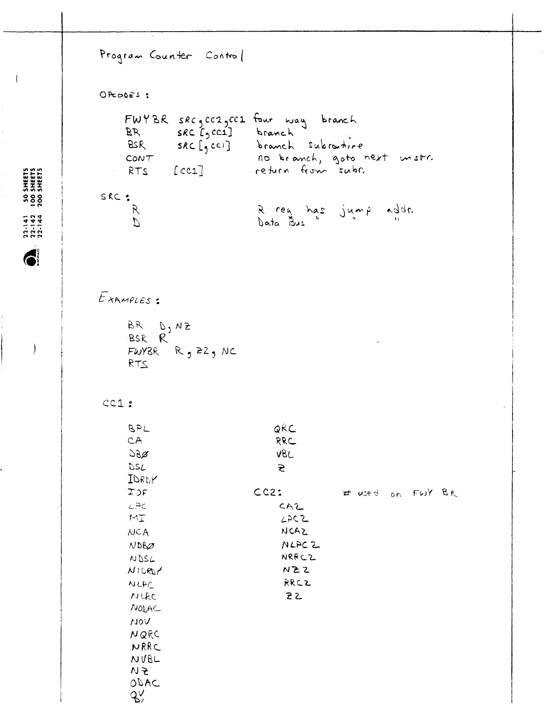```
Program Counter Control
OPCODES :
    FWYBR SRC, CC2, CC1 four way branch
              SRC L_2CC1branch
    BR
     BSRSRC[<sub>1</sub>cc1]branch subraiting
                            no branch, goto next unstr.
   CONT[cc1]return from subs.
     RTS
SRC :
                            R reg has jump addr.
      \mathcal{R}Data Bus
      \overline{L}EXAMPLES :
     BR D, NZ
     BSR R
     FWY8R R_9 229 NC
     RTSCC1:BPL
                               QRC
     CARRC
     DBZVBL
     DSL
                                \tilde{\mathbf{z}}IDRDY
                            CC2:TOF# used on FWY BR
     L<sup>2</sup>C
                                CAZ
     M_{\perp}LPCZNCAZ
     NCA
     NDBZNLPC 2
                                 NRRCZ
     NDSL
     N10RVNZZRRCZ
     NLPC
     NURC
                                 22NOLAC
     VOL
     NQRC
      NRRC
     NUBL
     \sim 5
     ODAC
     \mathcal{L}'
```
SHEETS<br>SHEETS<br>SHEETS  $3828$ 

 $\overline{\mathcal{L}}$ 

 $22 - 141$ <br> $22 - 142$ <br> $22 - 142$ 

6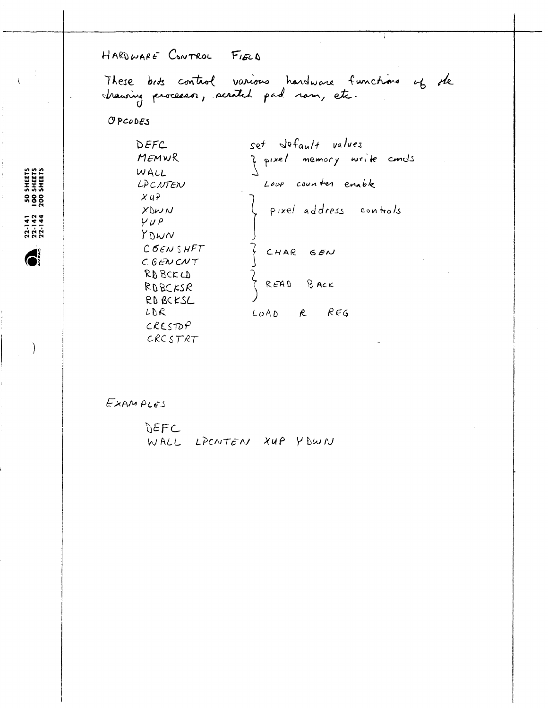HARDWARE CONTROL FIELD

These bits control various hardware functions of the trausing processor, scratch pad ram, etc.

OPCODES

50 SHEETS<br>100 SHEETS<br>200 SHEETS

 $22.141$ <br> $22.142$ <br> $22.142$ 

6

set default values DEFC ¿ pixel memory write conds MEMWR WALL Loop counter enable LACNTEN  $XU$ ? pixel address controls XDWN  $YUP$ YDWN  $CGEN$  SHFT  $\big\}$ CHAR GEN CGENCNT  $SPBCKCD$ READ  $B$  ACK ROBCKSR RD BCKSL LDR LOAD  $R\epsilon G$  $\kappa$  $CRESDP$  $CRCSTRT$ 

EXAMPLES

DEFC WALL LPCNTEN XUP YOWN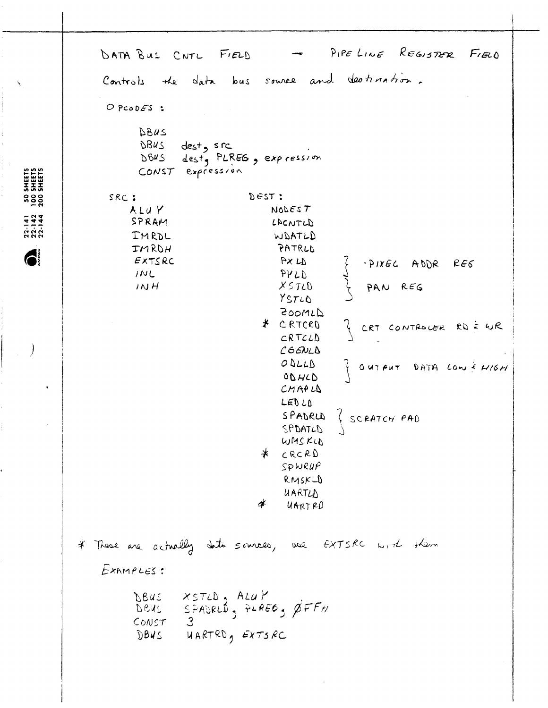PIPELINE REGISTER FIELD DATA BUS CNTL FIELD Controls the data bus source and destination.  $O$  PCODES : DBUS DBUS  $dest<sub>9</sub>$  src dest, PLREG, expression DBUS CONST expression  $2557:$  $SRC:$ ALUY NODEST SPRAM LACNTLD IMRDL WDATLD IMROH PATRLD EXTSRC AX 4 PIXEL ADDR  $RE6$  $INL$  $BNTB$  $X 5 T L D$ PAN REG  $1NH$ YSTLD ZOOMLD # CRTCRD ? CRT CONTROLER RD = WR  $CRTCLD$  $C66NL<sub>0</sub>$ ODLLD OUTPUT DATA LOW & HIGH ODHLD  $CMAPU$  $LEDLD$ SPADRUS SCRATCH PAD SPDATLD WMSKLD \* CRCRD  $SPWRUP$ RMSKLD UARTLA  $\frac{d}{ }$ UARTRO \* These are actually data sources, use EXTSRC with them  $ExameES:$ XSTLD, ALUY<br>SPADRLD, PLREG, ØFFH DBUS DEAS  $COMST$  $\mathcal{S}$ DBUS  $HARTRO<sub>g</sub>$  EXTS RC

SHEETS<br>SHEETS<br>SHEETS  $388$ 

 $22.141$ <br>  $22.142$ <br>  $23.142$ 

 $\bigodot$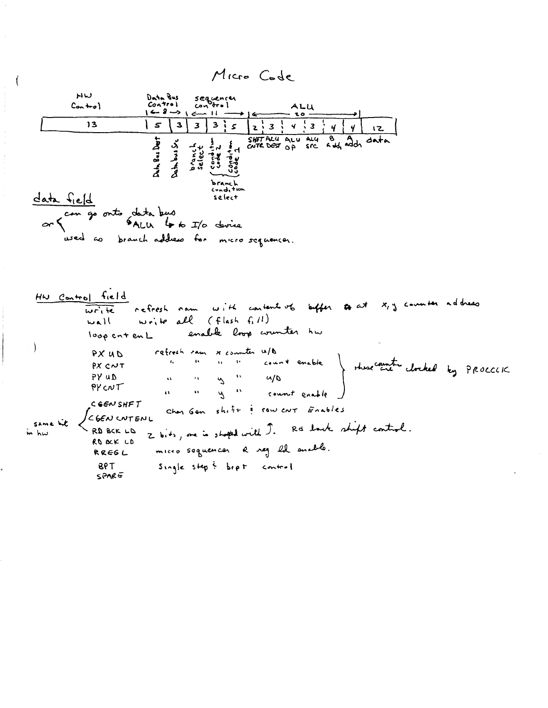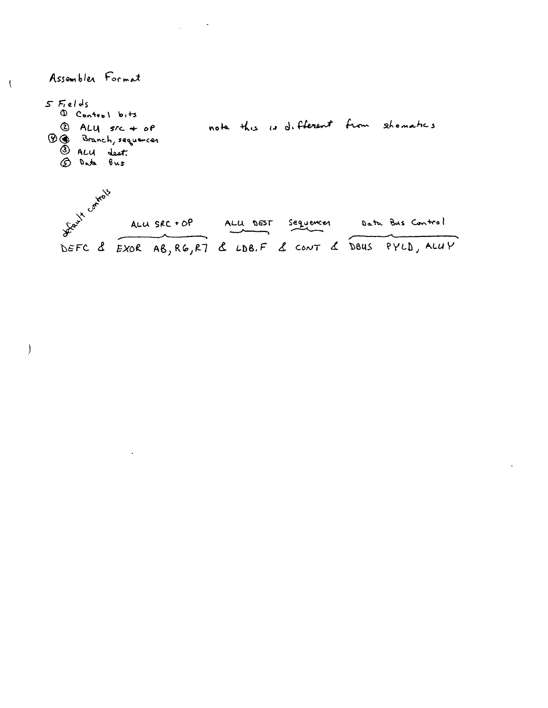Assembler Format

 $\overline{(}$ 

 $\rightarrow$ 

 $5$  Fields 1 Control bits note this is different from shomatics  $Q$  ALY  $src + of$ **B** Branch, sequences 5 ALU dest. Leux controls ALU SRC + OP ALU DEST Sequences Data Bus Control

EXOR AB, RG, R7 & LDB.F & CONT & DBUS PYLD, ALLIY DEFC &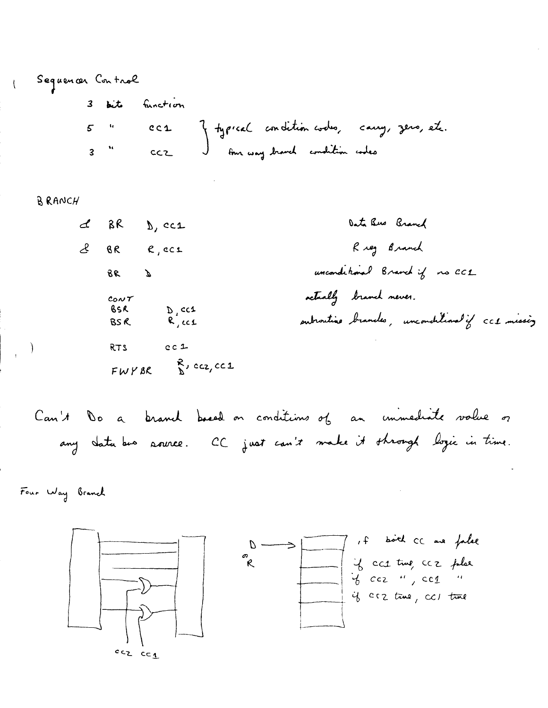Sequencer Control 3 bits function 5 " CC1 Y typical condition codes, carry, zero, etc.<br>3 " CC2 ) four way branch condition codes

BRANCH

Data Bus Branch  $d$  BR  $b$ , CC1 Rieg Branch BR R, CC1 Ŀ unconditional Branch if no CCL  $6600$ actually branch never. CONT<br>BSR D<sub>r</sub>cc1<br>BSR R<sub>r</sub>cc1 outroutine brancles, unconditional if CCL missing  $c$  c  $1$ RTS STA  $FWY, BC$   $\overset{R}{\longrightarrow}$  CCZ, CC1

Can't Do a branch based on conditions of an immediate value of any data bus asurce. CC just can't make it shrough logic in time.

Four Way Branch